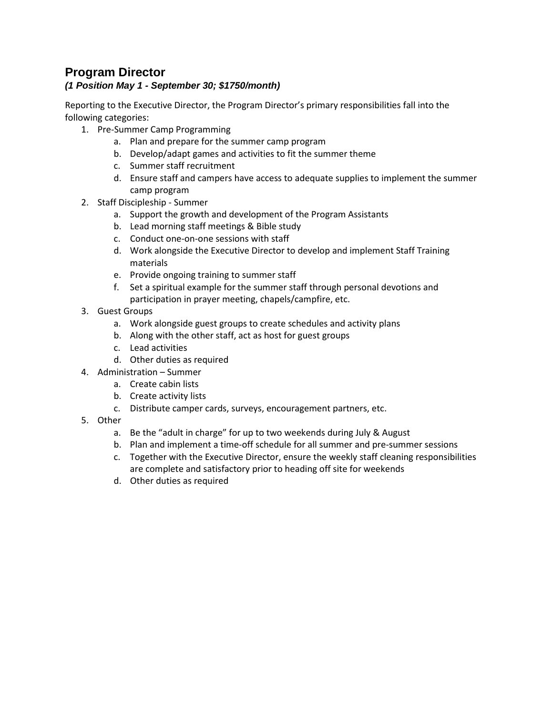# **Program Director**

#### *(1 Position May 1 - September 30; \$1750/month)*

Reporting to the Executive Director, the Program Director's primary responsibilities fall into the following categories:

- 1. Pre-Summer Camp Programming
	- a. Plan and prepare for the summer camp program
	- b. Develop/adapt games and activities to fit the summer theme
	- c. Summer staff recruitment
	- d. Ensure staff and campers have access to adequate supplies to implement the summer camp program
- 2. Staff Discipleship Summer
	- a. Support the growth and development of the Program Assistants
	- b. Lead morning staff meetings & Bible study
	- c. Conduct one-on-one sessions with staff
	- d. Work alongside the Executive Director to develop and implement Staff Training materials
	- e. Provide ongoing training to summer staff
	- f. Set a spiritual example for the summer staff through personal devotions and participation in prayer meeting, chapels/campfire, etc.
- 3. Guest Groups
	- a. Work alongside guest groups to create schedules and activity plans
	- b. Along with the other staff, act as host for guest groups
	- c. Lead activities
	- d. Other duties as required
- 4. Administration Summer
	- a. Create cabin lists
	- b. Create activity lists
	- c. Distribute camper cards, surveys, encouragement partners, etc.
- 5. Other
	- a. Be the "adult in charge" for up to two weekends during July & August
	- b. Plan and implement a time-off schedule for all summer and pre-summer sessions
	- c. Together with the Executive Director, ensure the weekly staff cleaning responsibilities are complete and satisfactory prior to heading off site for weekends
	- d. Other duties as required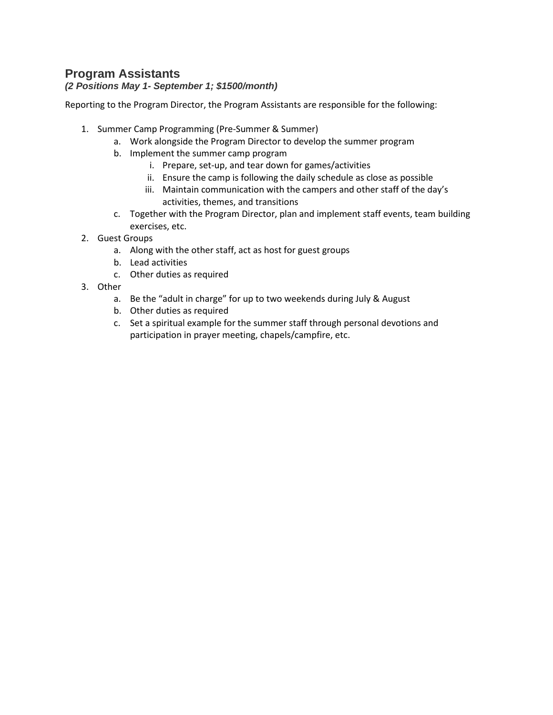# **[Program Assistants](https://registration.pinesbiblecamp.com/Staff)**

#### *(2 Positions May 1- September 1; \$1500/month)*

Reporting to the Program Director, the Program Assistants are responsible for the following:

- 1. Summer Camp Programming (Pre-Summer & Summer)
	- a. Work alongside the Program Director to develop the summer program
	- b. Implement the summer camp program
		- i. Prepare, set-up, and tear down for games/activities
		- ii. Ensure the camp is following the daily schedule as close as possible
		- iii. Maintain communication with the campers and other staff of the day's activities, themes, and transitions
	- c. Together with the Program Director, plan and implement staff events, team building exercises, etc.
- 2. Guest Groups
	- a. Along with the other staff, act as host for guest groups
	- b. Lead activities
	- c. Other duties as required
- 3. Other
	- a. Be the "adult in charge" for up to two weekends during July & August
	- b. Other duties as required
	- c. Set a spiritual example for the summer staff through personal devotions and participation in prayer meeting, chapels/campfire, etc.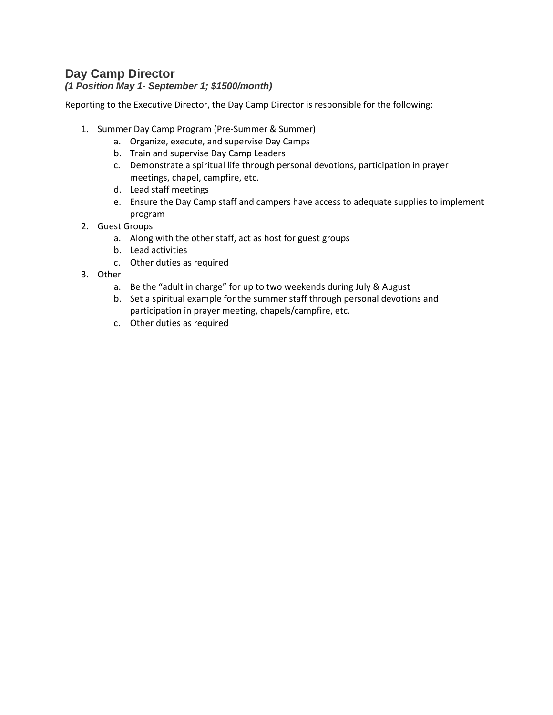# **[Day Camp Director](https://registration.pinesbiblecamp.com/Staff)**

#### *(1 Position May 1- September 1; \$1500/month)*

Reporting to the Executive Director, the Day Camp Director is responsible for the following:

- 1. Summer Day Camp Program (Pre-Summer & Summer)
	- a. Organize, execute, and supervise Day Camps
	- b. Train and supervise Day Camp Leaders
	- c. Demonstrate a spiritual life through personal devotions, participation in prayer meetings, chapel, campfire, etc.
	- d. Lead staff meetings
	- e. Ensure the Day Camp staff and campers have access to adequate supplies to implement program
- 2. Guest Groups
	- a. Along with the other staff, act as host for guest groups
	- b. Lead activities
	- c. Other duties as required
- 3. Other
	- a. Be the "adult in charge" for up to two weekends during July & August
	- b. Set a spiritual example for the summer staff through personal devotions and participation in prayer meeting, chapels/campfire, etc.
	- c. Other duties as required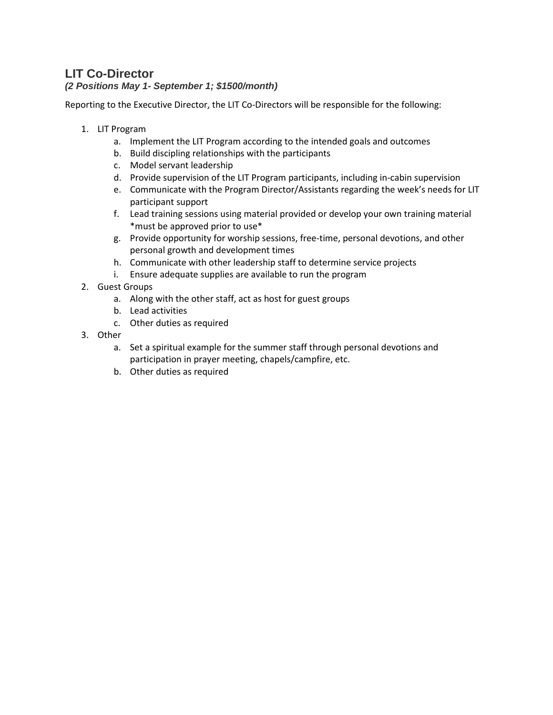# **LIT [Co-Director](https://registration.pinesbiblecamp.com/Staff)**

#### *(2 Positions May 1- September 1; \$1500/month)*

Reporting to the Executive Director, the LIT Co-Directors will be responsible for the following:

- 1. LIT Program
	- a. Implement the LIT Program according to the intended goals and outcomes
	- b. Build discipling relationships with the participants
	- c. Model servant leadership
	- d. Provide supervision of the LIT Program participants, including in-cabin supervision
	- e. Communicate with the Program Director/Assistants regarding the week's needs for LIT participant support
	- f. Lead training sessions using material provided or develop your own training material \*must be approved prior to use\*
	- g. Provide opportunity for worship sessions, free-time, personal devotions, and other personal growth and development times
	- h. Communicate with other leadership staff to determine service projects
	- i. Ensure adequate supplies are available to run the program
- 2. Guest Groups
	- a. Along with the other staff, act as host for guest groups
	- b. Lead activities
	- c. Other duties as required
- 3. Other
	- a. Set a spiritual example for the summer staff through personal devotions and participation in prayer meeting, chapels/campfire, etc.
	- b. Other duties as required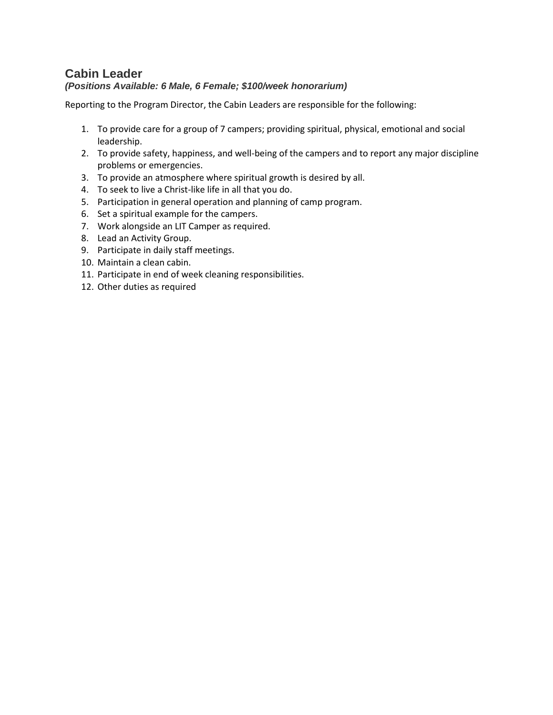#### **[Cabin Leader](https://registration.pinesbiblecamp.com/Staff)** *(Positions Available: 6 Male, 6 Female; \$100/week honorarium)*

Reporting to the Program Director, the Cabin Leaders are responsible for the following:

- 1. To provide care for a group of 7 campers; providing spiritual, physical, emotional and social leadership.
- 2. To provide safety, happiness, and well-being of the campers and to report any major discipline problems or emergencies.
- 3. To provide an atmosphere where spiritual growth is desired by all.
- 4. To seek to live a Christ-like life in all that you do.
- 5. Participation in general operation and planning of camp program.
- 6. Set a spiritual example for the campers.
- 7. Work alongside an LIT Camper as required.
- 8. Lead an Activity Group.
- 9. Participate in daily staff meetings.
- 10. Maintain a clean cabin.
- 11. Participate in end of week cleaning responsibilities.
- 12. Other duties as required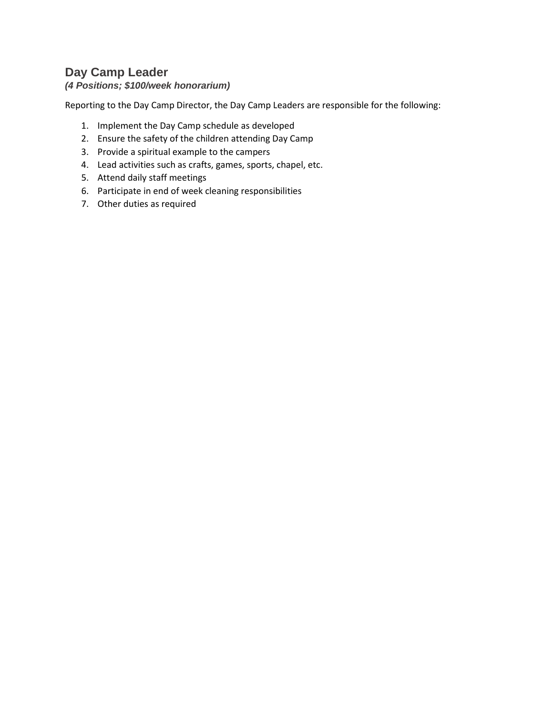# **Day Camp Leader**

### *(4 Positions; \$100/week honorarium)*

Reporting to the Day Camp Director, the Day Camp Leaders are responsible for the following:

- 1. Implement the Day Camp schedule as developed
- 2. Ensure the safety of the children attending Day Camp
- 3. Provide a spiritual example to the campers
- 4. Lead activities such as crafts, games, sports, chapel, etc.
- 5. Attend daily staff meetings
- 6. Participate in end of week cleaning responsibilities
- 7. Other duties as require[d](https://registration.pinesbiblecamp.com/Staff)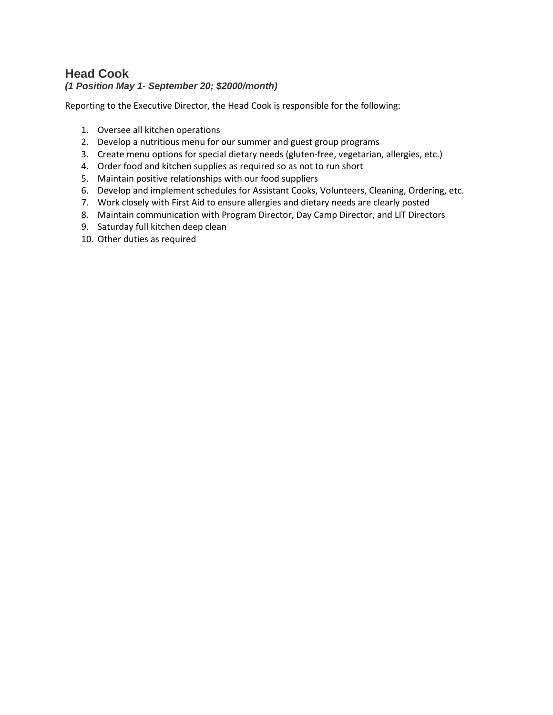### **[Head Cook](https://registration.pinesbiblecamp.com/Staff)** *(1 Position May 1- September 20; \$2000/month)*

Reporting to the Executive Director, the Head Cook is responsible for the following:

- 1. Oversee all kitchen operations
- 2. Develop a nutritious menu for our summer and guest group programs
- 3. Create menu options for special dietary needs (gluten-free, vegetarian, allergies, etc.)
- 4. Order food and kitchen supplies as required so as not to run short
- 5. Maintain positive relationships with our food suppliers
- 6. Develop and implement schedules for Assistant Cooks, Volunteers, Cleaning, Ordering, etc.
- 7. Work closely with First Aid to ensure allergies and dietary needs are clearly posted
- 8. Maintain communication with Program Director, Day Camp Director, and LIT Directors
- 9. Saturday full kitchen deep clean
- 10. Other duties as required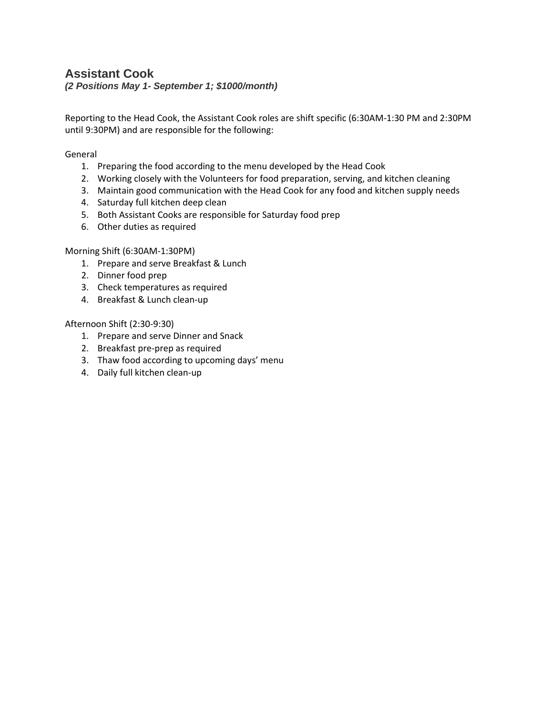## **[Assistant Cook](https://registration.pinesbiblecamp.com/Staff)**

*(2 Positions May 1- September 1; \$1000/month)*

Reporting to the Head Cook, the Assistant Cook roles are shift specific (6:30AM-1:30 PM and 2:30PM until 9:30PM) and are responsible for the following:

General

- 1. Preparing the food according to the menu developed by the Head Cook
- 2. Working closely with the Volunteers for food preparation, serving, and kitchen cleaning
- 3. Maintain good communication with the Head Cook for any food and kitchen supply needs
- 4. Saturday full kitchen deep clean
- 5. Both Assistant Cooks are responsible for Saturday food prep
- 6. Other duties as required

#### Morning Shift (6:30AM-1:30PM)

- 1. Prepare and serve Breakfast & Lunch
- 2. Dinner food prep
- 3. Check temperatures as required
- 4. Breakfast & Lunch clean-up

#### Afternoon Shift (2:30-9:30)

- 1. Prepare and serve Dinner and Snack
- 2. Breakfast pre-prep as required
- 3. Thaw food according to upcoming days' menu
- 4. Daily full kitchen clean-up